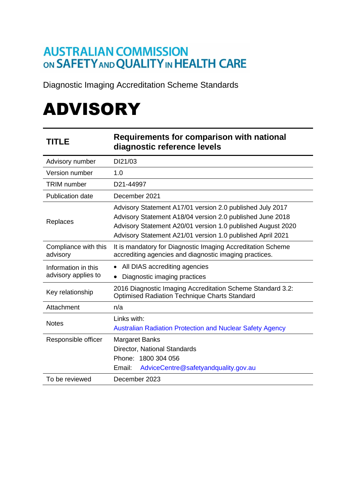## **AUSTRALIAN COMMISSION** ON SAFETY AND QUALITY IN HEALTH CARE

Diagnostic Imaging Accreditation Scheme Standards

# ADVISORY

| <b>TITLE</b>                               | <b>Requirements for comparison with national</b><br>diagnostic reference levels                                                                                                                                                                     |
|--------------------------------------------|-----------------------------------------------------------------------------------------------------------------------------------------------------------------------------------------------------------------------------------------------------|
| Advisory number                            | DI21/03                                                                                                                                                                                                                                             |
| Version number                             | 1.0                                                                                                                                                                                                                                                 |
| TRIM number                                | D21-44997                                                                                                                                                                                                                                           |
| <b>Publication date</b>                    | December 2021                                                                                                                                                                                                                                       |
| Replaces                                   | Advisory Statement A17/01 version 2.0 published July 2017<br>Advisory Statement A18/04 version 2.0 published June 2018<br>Advisory Statement A20/01 version 1.0 published August 2020<br>Advisory Statement A21/01 version 1.0 published April 2021 |
| Compliance with this<br>advisory           | It is mandatory for Diagnostic Imaging Accreditation Scheme<br>accrediting agencies and diagnostic imaging practices.                                                                                                                               |
| Information in this<br>advisory applies to | All DIAS accrediting agencies<br>$\bullet$                                                                                                                                                                                                          |
|                                            | Diagnostic imaging practices<br>٠                                                                                                                                                                                                                   |
| Key relationship                           | 2016 Diagnostic Imaging Accreditation Scheme Standard 3.2:<br><b>Optimised Radiation Technique Charts Standard</b>                                                                                                                                  |
| Attachment                                 | n/a                                                                                                                                                                                                                                                 |
| <b>Notes</b>                               | Links with:<br><b>Australian Radiation Protection and Nuclear Safety Agency</b>                                                                                                                                                                     |
| Responsible officer                        | <b>Margaret Banks</b>                                                                                                                                                                                                                               |
|                                            | Director, National Standards                                                                                                                                                                                                                        |
|                                            | Phone: 1800 304 056                                                                                                                                                                                                                                 |
|                                            | AdviceCentre@safetyandquality.gov.au<br>Email:                                                                                                                                                                                                      |
| To be reviewed                             | December 2023                                                                                                                                                                                                                                       |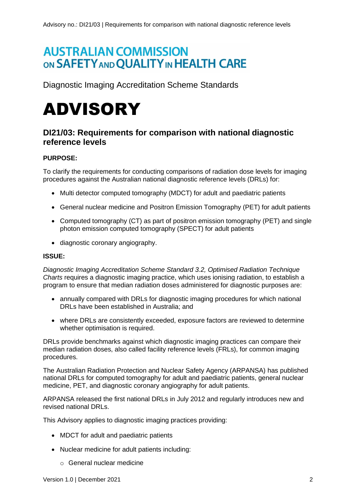## **AUSTRALIAN COMMISSION** ON SAFETY AND QUALITY IN HEALTH CARE

Diagnostic Imaging Accreditation Scheme Standards

## ADVISORY

### **DI21/03: Requirements for comparison with national diagnostic reference levels**

#### **PURPOSE:**

To clarify the requirements for conducting comparisons of radiation dose levels for imaging procedures against the Australian national diagnostic reference levels (DRLs) for:

- Multi detector computed tomography (MDCT) for adult and paediatric patients
- General nuclear medicine and Positron Emission Tomography (PET) for adult patients
- Computed tomography (CT) as part of positron emission tomography (PET) and single photon emission computed tomography (SPECT) for adult patients
- diagnostic coronary angiography.

#### **ISSUE:**

*Diagnostic Imaging Accreditation Scheme Standard 3.2, Optimised Radiation Technique Charts* requires a diagnostic imaging practice, which uses ionising radiation, to establish a program to ensure that median radiation doses administered for diagnostic purposes are:

- annually compared with DRLs for diagnostic imaging procedures for which national DRI s have been established in Australia; and
- where DRLs are consistently exceeded, exposure factors are reviewed to determine whether optimisation is required.

DRLs provide benchmarks against which diagnostic imaging practices can compare their median radiation doses, also called facility reference levels (FRLs), for common imaging procedures.

The Australian Radiation Protection and Nuclear Safety Agency (ARPANSA) has published national DRLs for computed tomography for adult and paediatric patients, general nuclear medicine, PET, and diagnostic coronary angiography for adult patients.

ARPANSA released the first national DRLs in July 2012 and regularly introduces new and revised national DRLs.

This Advisory applies to diagnostic imaging practices providing:

- MDCT for adult and paediatric patients
- Nuclear medicine for adult patients including:
	- o General nuclear medicine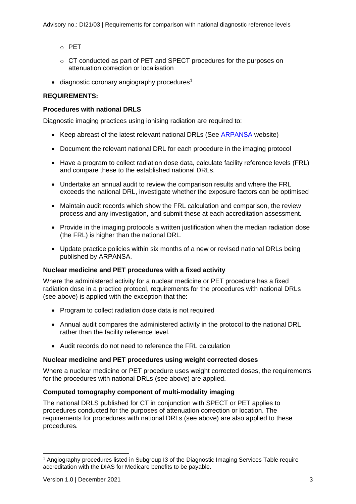- o PET
- o CT conducted as part of PET and SPECT procedures for the purposes on attenuation correction or localisation
- $\bullet$  diagnostic coronary angiography procedures<sup>1</sup>

#### **REQUIREMENTS:**

#### **Procedures with national DRLS**

Diagnostic imaging practices using ionising radiation are required to:

- Keep abreast of the latest relevant national DRLs (See [ARPANSA](http://www.arpansa.gov.au/ndrls) website)
- Document the relevant national DRL for each procedure in the imaging protocol
- Have a program to collect radiation dose data, calculate facility reference levels (FRL) and compare these to the established national DRLs.
- Undertake an annual audit to review the comparison results and where the FRL exceeds the national DRL, investigate whether the exposure factors can be optimised
- Maintain audit records which show the FRL calculation and comparison, the review process and any investigation, and submit these at each accreditation assessment.
- Provide in the imaging protocols a written justification when the median radiation dose (the FRL) is higher than the national DRL.
- Update practice policies within six months of a new or revised national DRLs being published by ARPANSA.

#### **Nuclear medicine and PET procedures with a fixed activity**

Where the administered activity for a nuclear medicine or PET procedure has a fixed radiation dose in a practice protocol, requirements for the procedures with national DRLs (see above) is applied with the exception that the:

- Program to collect radiation dose data is not required
- Annual audit compares the administered activity in the protocol to the national DRL rather than the facility reference level.
- Audit records do not need to reference the FRL calculation

#### **Nuclear medicine and PET procedures using weight corrected doses**

Where a nuclear medicine or PET procedure uses weight corrected doses, the requirements for the procedures with national DRLs (see above) are applied.

#### **Computed tomography component of multi-modality imaging**

The national DRLS published for CT in conjunction with SPECT or PET applies to procedures conducted for the purposes of attenuation correction or location. The requirements for procedures with national DRLs (see above) are also applied to these procedures.

<sup>1</sup> Angiography procedures listed in Subgroup I3 of the Diagnostic Imaging Services Table require accreditation with the DIAS for Medicare benefits to be payable.